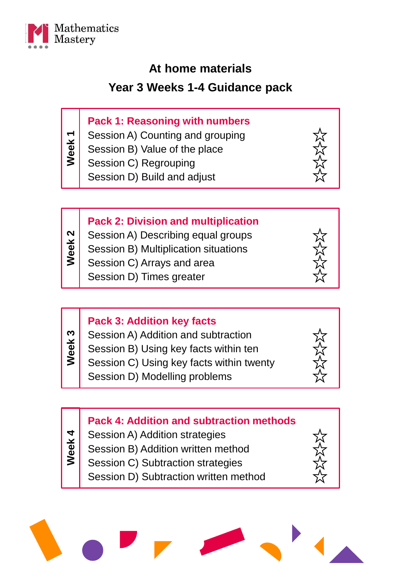

### **At home materials**

### **Year 3 Weeks 1-4 Guidance pack**

### **Pack 1: Reasoning with numbers**

Session A) Counting and grouping **Week 1**

- Session B) Value of the place
- Session C) Regrouping

Session D) Build and adjust



### **Pack 2: Division and multiplication**

- Session A) Describing equal groups **Week 2**
	- Session B) Multiplication situations
	- Session C) Arrays and area
		- Session D) Times greater

| <b>Pack 3: Addition key facts</b><br>Session A) Addition and subtraction<br>Week <sub>3</sub><br>Session B) Using key facts within ten<br>Session C) Using key facts within twenty<br>Session D) Modelling problems |  |
|---------------------------------------------------------------------------------------------------------------------------------------------------------------------------------------------------------------------|--|
|---------------------------------------------------------------------------------------------------------------------------------------------------------------------------------------------------------------------|--|

### **Pack 4: Addition and subtraction methods** Session A) Addition strategies Session B) Addition written method **Week 4**

- Session C) Subtraction strategies
	- Session D) Subtraction written method

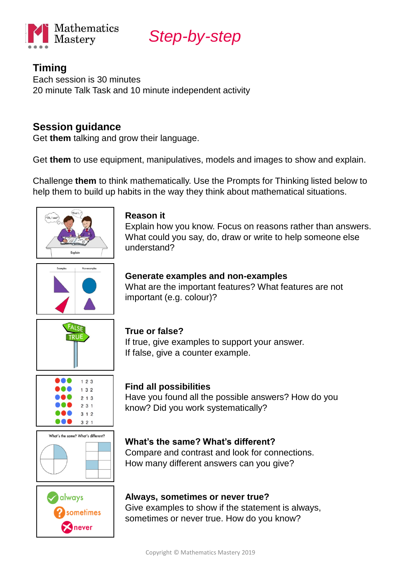

### **Timing**

Each session is 30 minutes 20 minute Talk Task and 10 minute independent activity

### **Session guidance**

Get **them** talking and grow their language.

Get **them** to use equipment, manipulatives, models and images to show and explain.

Challenge **them** to think mathematically. Use the Prompts for Thinking listed below to help them to build up habits in the way they think about mathematical situations.



#### **Reason it**

Explain how you know. Focus on reasons rather than answers. What could you say, do, draw or write to help someone else understand?



#### **Generate examples and non-examples**

If true, give examples to support your answer.

What are the important features? What features are not important (e.g. colour)?



#### $123$ **. . .**  $132$  $213$  $231$  $312$ ...  $321$





### **Find all possibilities**

If false, give a counter example.

**True or false?**

Have you found all the possible answers? How do you know? Did you work systematically?

### **What's the same? What's different?**

Compare and contrast and look for connections. How many different answers can you give?

#### **Always, sometimes or never true?**

Give examples to show if the statement is always, sometimes or never true. How do you know?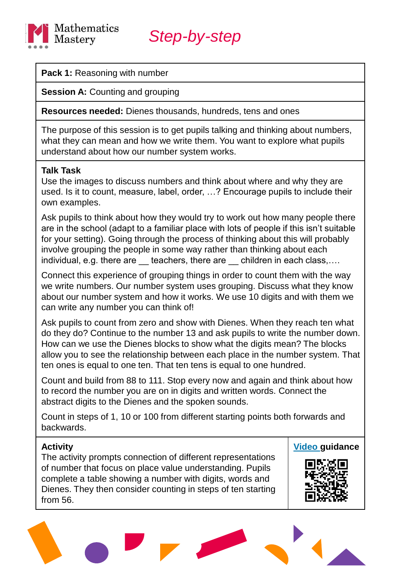

**Pack 1:** Reasoning with number

**Session A:** Counting and grouping

**Resources needed:** Dienes thousands, hundreds, tens and ones

The purpose of this session is to get pupils talking and thinking about numbers, what they can mean and how we write them. You want to explore what pupils understand about how our number system works.

#### **Talk Task**

Use the images to discuss numbers and think about where and why they are used. Is it to count, measure, label, order, …? Encourage pupils to include their own examples.

Ask pupils to think about how they would try to work out how many people there are in the school (adapt to a familiar place with lots of people if this isn't suitable for your setting). Going through the process of thinking about this will probably involve grouping the people in some way rather than thinking about each individual, e.g. there are teachers, there are children in each class,....

Connect this experience of grouping things in order to count them with the way we write numbers. Our number system uses grouping. Discuss what they know about our number system and how it works. We use 10 digits and with them we can write any number you can think of!

Ask pupils to count from zero and show with Dienes. When they reach ten what do they do? Continue to the number 13 and ask pupils to write the number down. How can we use the Dienes blocks to show what the digits mean? The blocks allow you to see the relationship between each place in the number system. That ten ones is equal to one ten. That ten tens is equal to one hundred.

Count and build from 88 to 111. Stop every now and again and think about how to record the number you are on in digits and written words. Connect the abstract digits to the Dienes and the spoken sounds.

Count in steps of 1, 10 or 100 from different starting points both forwards and backwards.

#### **Activity**

The activity prompts connection of different representations of number that focus on place value understanding. Pupils complete a table showing a number with digits, words and Dienes. They then consider counting in steps of ten starting from 56.



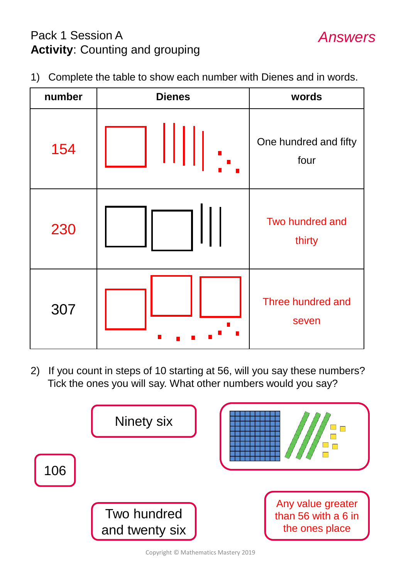# Pack 1 Session A **Activity**: Counting and grouping

- *Answers*
- 1) Complete the table to show each number with Dienes and in words.



2) If you count in steps of 10 starting at 56, will you say these numbers? Tick the ones you will say. What other numbers would you say?



Copyright © Mathematics Mastery 2019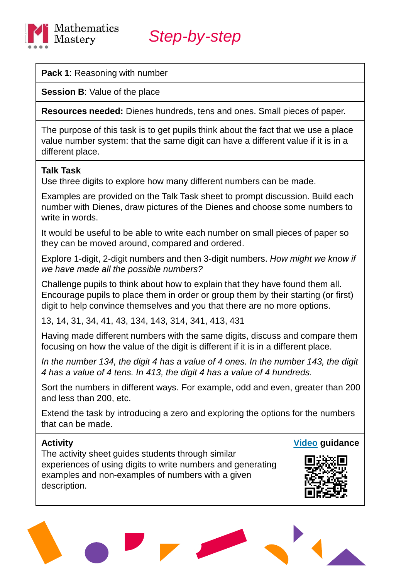

#### **Pack 1**: Reasoning with number

**Session B: Value of the place** 

**Resources needed:** Dienes hundreds, tens and ones. Small pieces of paper.

The purpose of this task is to get pupils think about the fact that we use a place value number system: that the same digit can have a different value if it is in a different place.

#### **Talk Task**

Use three digits to explore how many different numbers can be made.

Examples are provided on the Talk Task sheet to prompt discussion. Build each number with Dienes, draw pictures of the Dienes and choose some numbers to write in words.

It would be useful to be able to write each number on small pieces of paper so they can be moved around, compared and ordered.

Explore 1-digit, 2-digit numbers and then 3-digit numbers. *How might we know if we have made all the possible numbers?*

Challenge pupils to think about how to explain that they have found them all. Encourage pupils to place them in order or group them by their starting (or first) digit to help convince themselves and you that there are no more options.

13, 14, 31, 34, 41, 43, 134, 143, 314, 341, 413, 431

Having made different numbers with the same digits, discuss and compare them focusing on how the value of the digit is different if it is in a different place.

*In the number 134, the digit 4 has a value of 4 ones. In the number 143, the digit 4 has a value of 4 tens. In 413, the digit 4 has a value of 4 hundreds.*

Sort the numbers in different ways. For example, odd and even, greater than 200 and less than 200, etc.

Extend the task by introducing a zero and exploring the options for the numbers that can be made.

#### **Activity**

The activity sheet guides students through similar experiences of using digits to write numbers and generating examples and non-examples of numbers with a given description.



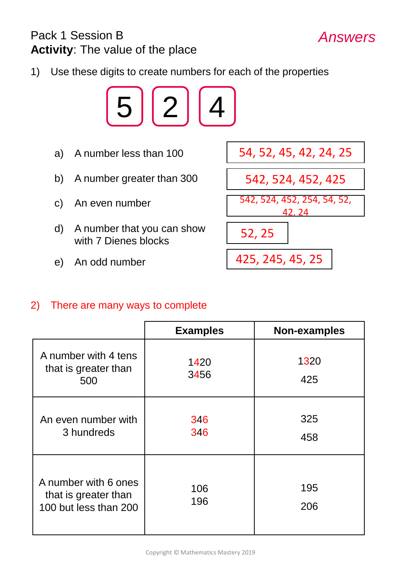## Pack 1 Session B **Activity**: The value of the place

1) Use these digits to create numbers for each of the properties



- 
- b) A number greater than 300
- c) An even number
- d) A number that you can show with 7 Dienes blocks
- e) An odd number



*Answers*

### 2) There are many ways to complete

|                                                                       | <b>Examples</b> | Non-examples |
|-----------------------------------------------------------------------|-----------------|--------------|
| A number with 4 tens<br>that is greater than<br>500                   | 1420<br>3456    | 1320<br>425  |
| An even number with<br>3 hundreds                                     | 346<br>346      | 325<br>458   |
| A number with 6 ones<br>that is greater than<br>100 but less than 200 | 106<br>196      | 195<br>206   |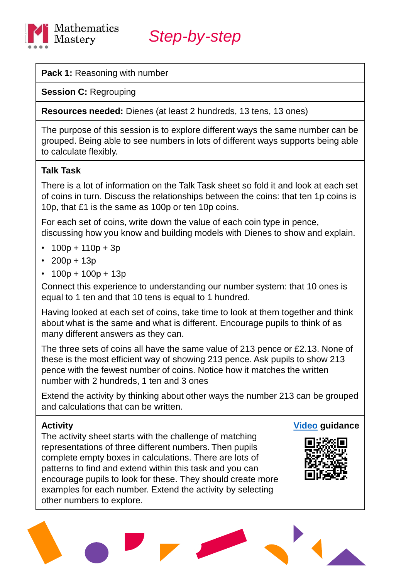

#### **Pack 1:** Reasoning with number

**Session C:** Regrouping

**Resources needed:** Dienes (at least 2 hundreds, 13 tens, 13 ones)

The purpose of this session is to explore different ways the same number can be grouped. Being able to see numbers in lots of different ways supports being able to calculate flexibly.

#### **Talk Task**

There is a lot of information on the Talk Task sheet so fold it and look at each set of coins in turn. Discuss the relationships between the coins: that ten 1p coins is 10p, that £1 is the same as 100p or ten 10p coins.

For each set of coins, write down the value of each coin type in pence, discussing how you know and building models with Dienes to show and explain.

- $100p + 110p + 3p$
- $200p + 13p$
- $100p + 100p + 13p$

Connect this experience to understanding our number system: that 10 ones is equal to 1 ten and that 10 tens is equal to 1 hundred.

Having looked at each set of coins, take time to look at them together and think about what is the same and what is different. Encourage pupils to think of as many different answers as they can.

The three sets of coins all have the same value of 213 pence or £2.13. None of these is the most efficient way of showing 213 pence. Ask pupils to show 213 pence with the fewest number of coins. Notice how it matches the written number with 2 hundreds, 1 ten and 3 ones

Extend the activity by thinking about other ways the number 213 can be grouped and calculations that can be written.

#### **Activity**

The activity sheet starts with the challenge of matching representations of three different numbers. Then pupils complete empty boxes in calculations. There are lots of patterns to find and extend within this task and you can encourage pupils to look for these. They should create more examples for each number. Extend the activity by selecting other numbers to explore.

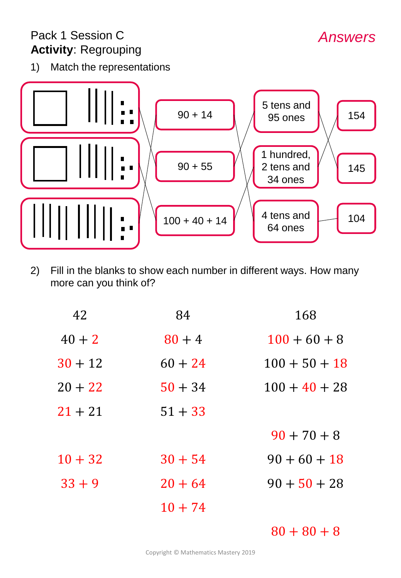# Pack 1 Session C **Activity**: Regrouping

1) Match the representations



2) Fill in the blanks to show each number in different ways. How many more can you think of?

| 168             | 84        | 42        |
|-----------------|-----------|-----------|
| $100 + 60 + 8$  | $80 + 4$  | $40 + 2$  |
| $100 + 50 + 18$ | $60 + 24$ | $30 + 12$ |
| $100 + 40 + 28$ | $50 + 34$ | $20 + 22$ |
|                 | $51 + 33$ | $21 + 21$ |
| $90 + 70 + 8$   |           |           |
| $90 + 60 + 18$  | $30 + 54$ | $10 + 32$ |
| $90 + 50 + 28$  | $20 + 64$ | $33 + 9$  |
|                 | $10 + 74$ |           |

 $80 + 80 + 8$ 

Copyright © Mathematics Mastery 2019

*Answers*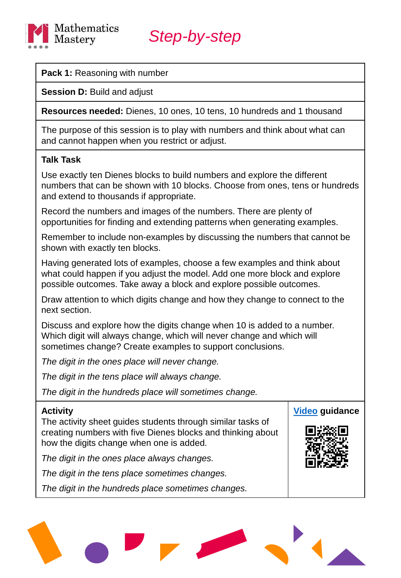

**Pack 1:** Reasoning with number

**Session D:** Build and adjust

**Resources needed:** Dienes, 10 ones, 10 tens, 10 hundreds and 1 thousand

The purpose of this session is to play with numbers and think about what can and cannot happen when you restrict or adjust.

#### **Talk Task**

Use exactly ten Dienes blocks to build numbers and explore the different numbers that can be shown with 10 blocks. Choose from ones, tens or hundreds and extend to thousands if appropriate.

Record the numbers and images of the numbers. There are plenty of opportunities for finding and extending patterns when generating examples.

Remember to include non-examples by discussing the numbers that cannot be shown with exactly ten blocks.

Having generated lots of examples, choose a few examples and think about what could happen if you adjust the model. Add one more block and explore possible outcomes. Take away a block and explore possible outcomes.

Draw attention to which digits change and how they change to connect to the next section.

Discuss and explore how the digits change when 10 is added to a number. Which digit will always change, which will never change and which will sometimes change? Create examples to support conclusions.

*The digit in the ones place will never change.*

*The digit in the tens place will always change.*

*The digit in the hundreds place will sometimes change.*

### **Activity** The activity sheet guides students through similar tasks of creating numbers with five Dienes blocks and thinking about how the digits change when one is added. *The digit in the ones place always changes. The digit in the tens place sometimes changes.* **[Video](https://vimeo.com/331961261/c84fe6a9da) guidance**

*The digit in the hundreds place sometimes changes.*

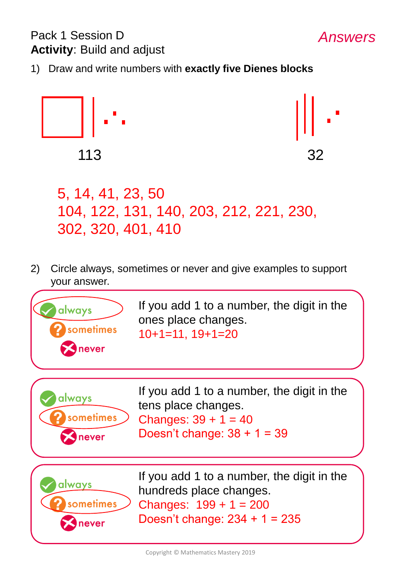# Pack 1 Session D **Activity**: Build and adjust

1) Draw and write numbers with **exactly five Dienes blocks**



*Answers*

5, 14, 41, 23, 50 104, 122, 131, 140, 203, 212, 221, 230, 302, 320, 401, 410

2) Circle always, sometimes or never and give examples to support your answer.



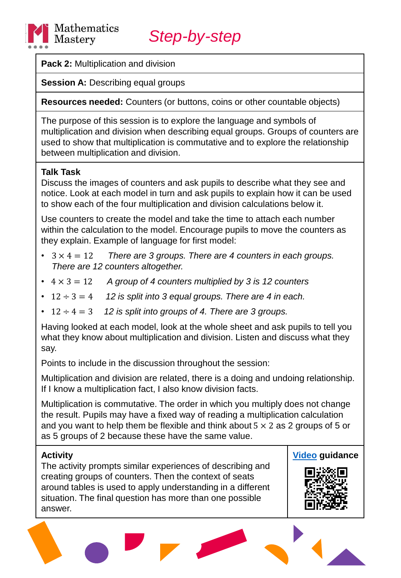

**Pack 2:** Multiplication and division

**Session A: Describing equal groups** 

**Resources needed:** Counters (or buttons, coins or other countable objects)

The purpose of this session is to explore the language and symbols of multiplication and division when describing equal groups. Groups of counters are used to show that multiplication is commutative and to explore the relationship between multiplication and division.

### **Talk Task**

Discuss the images of counters and ask pupils to describe what they see and notice. Look at each model in turn and ask pupils to explain how it can be used to show each of the four multiplication and division calculations below it.

Use counters to create the model and take the time to attach each number within the calculation to the model. Encourage pupils to move the counters as they explain. Example of language for first model:

- 3 × 4 = 12 *There are 3 groups. There are 4 counters in each groups. There are 12 counters altogether.*
- 4 × 3 = 12 *A group of 4 counters multiplied by 3 is 12 counters*
- $\cdot$  12  $\div$  3 = 4 *12 is split into 3 equal groups. There are 4 in each.*
- $\cdot$  12  $\div$  4 = 3 12 is split into groups of 4. There are 3 groups.

Having looked at each model, look at the whole sheet and ask pupils to tell you what they know about multiplication and division. Listen and discuss what they say.

Points to include in the discussion throughout the session:

Multiplication and division are related, there is a doing and undoing relationship. If I know a multiplication fact, I also know division facts.

Multiplication is commutative. The order in which you multiply does not change the result. Pupils may have a fixed way of reading a multiplication calculation and you want to help them be flexible and think about  $5 \times 2$  as 2 groups of 5 or as 5 groups of 2 because these have the same value.

#### **Activity**

The activity prompts similar experiences of describing and creating groups of counters. Then the context of seats around tables is used to apply understanding in a different situation. The final question has more than one possible answer.



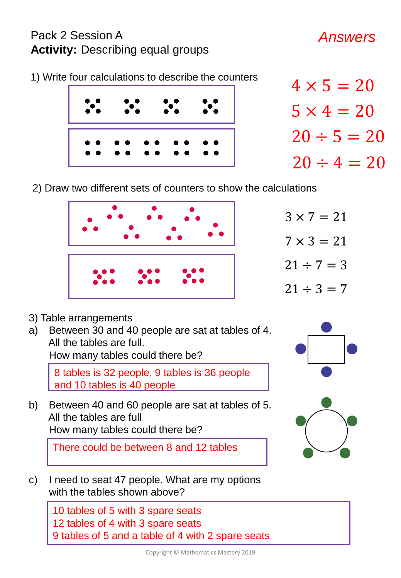# Pack 2 Session A **Activity:** Describing equal groups

# *Answers*





- $4 \times 5 = 20$  $5 \times 4 = 20$  $20 \div 5 = 20$  $20 \div 4 = 20$
- 2) Draw two different sets of counters to show the calculations



 $3 \times 7 = 21$  $7 \times 3 = 21$  $21 \div 7 = 3$  $21 \div 3 = 7$ 

- 3) Table arrangements
- a) Between 30 and 40 people are sat at tables of 4. All the tables are full.

How many tables could there be?

8 tables is 32 people, 9 tables is 36 people and 10 tables is 40 people

b) Between 40 and 60 people are sat at tables of 5. All the tables are full How many tables could there be?

There could be between 8 and 12 tables



10 tables of 5 with 3 spare seats 12 tables of 4 with 3 spare seats 9 tables of 5 and a table of 4 with 2 spare seats

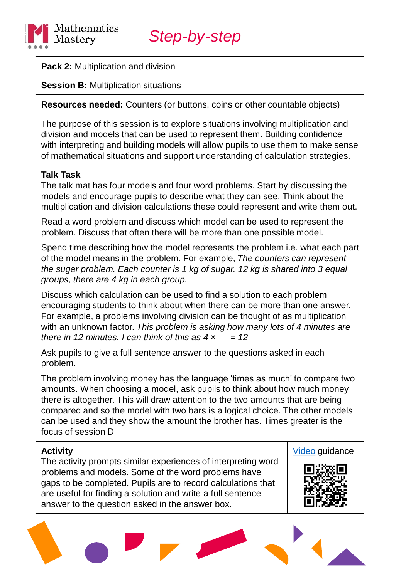

**Pack 2:** Multiplication and division

**Session B: Multiplication situations** 

**Resources needed:** Counters (or buttons, coins or other countable objects)

The purpose of this session is to explore situations involving multiplication and division and models that can be used to represent them. Building confidence with interpreting and building models will allow pupils to use them to make sense of mathematical situations and support understanding of calculation strategies.

### **Talk Task**

The talk mat has four models and four word problems. Start by discussing the models and encourage pupils to describe what they can see. Think about the multiplication and division calculations these could represent and write them out.

Read a word problem and discuss which model can be used to represent the problem. Discuss that often there will be more than one possible model.

Spend time describing how the model represents the problem i.e. what each part of the model means in the problem. For example, *The counters can represent the sugar problem. Each counter is 1 kg of sugar. 12 kg is shared into 3 equal groups, there are 4 kg in each group.*

Discuss which calculation can be used to find a solution to each problem encouraging students to think about when there can be more than one answer. For example, a problems involving division can be thought of as multiplication with an unknown factor. *This problem is asking how many lots of 4 minutes are there in 12 minutes. I can think of this as*  $4 \times \_ = 12$ 

Ask pupils to give a full sentence answer to the questions asked in each problem.

The problem involving money has the language 'times as much' to compare two amounts. When choosing a model, ask pupils to think about how much money there is altogether. This will draw attention to the two amounts that are being compared and so the model with two bars is a logical choice. The other models can be used and they show the amount the brother has. Times greater is the focus of session D

#### **Activity**

The activity prompts similar experiences of interpreting word problems and models. Some of the word problems have gaps to be completed. Pupils are to record calculations that are useful for finding a solution and write a full sentence answer to the question asked in the answer box.



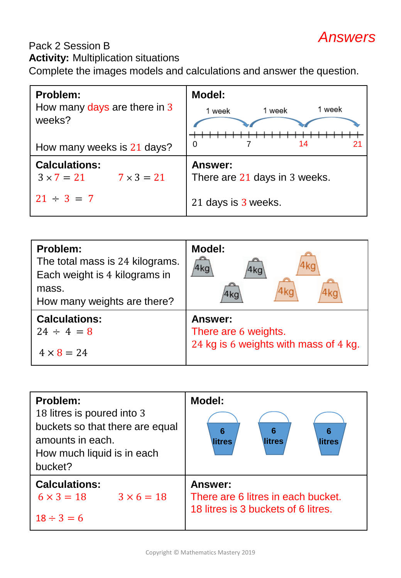# *Answers*

# Pack 2 Session B

**Activity:** Multiplication situations

Complete the images models and calculations and answer the question.

| Problem:<br>How many days are there in 3<br>weeks?             | <b>Model:</b><br>1 week<br>1 week<br>1 week     |
|----------------------------------------------------------------|-------------------------------------------------|
| How many weeks is 21 days?                                     | 0<br>14                                         |
| <b>Calculations:</b><br>$3 \times 7 = 21$<br>$7 \times 3 = 21$ | <b>Answer:</b><br>There are 21 days in 3 weeks. |
| $21 \div 3 = 7$                                                | 21 days is 3 weeks.                             |

| Problem:<br>The total mass is 24 kilograms.<br>Each weight is 4 kilograms in<br>mass.<br>How many weights are there? | <b>Model:</b><br>4ka<br>4kc<br>4ko    |
|----------------------------------------------------------------------------------------------------------------------|---------------------------------------|
| <b>Calculations:</b>                                                                                                 | <b>Answer:</b>                        |
| $24 \div 4 = 8$                                                                                                      | There are 6 weights.                  |
| $4 \times 8 = 24$                                                                                                    | 24 kg is 6 weights with mass of 4 kg. |

| Problem:<br>18 litres is poured into 3<br>buckets so that there are equal<br>amounts in each.<br>How much liquid is in each<br>bucket? | <b>Model:</b><br>6<br>6<br>6<br>litres<br>litres<br>litres                                  |
|----------------------------------------------------------------------------------------------------------------------------------------|---------------------------------------------------------------------------------------------|
| <b>Calculations:</b><br>$3 \times 6 = 18$<br>$6 \times 3 = 18$<br>$18 \div 3 = 6$                                                      | <b>Answer:</b><br>There are 6 litres in each bucket.<br>18 litres is 3 buckets of 6 litres. |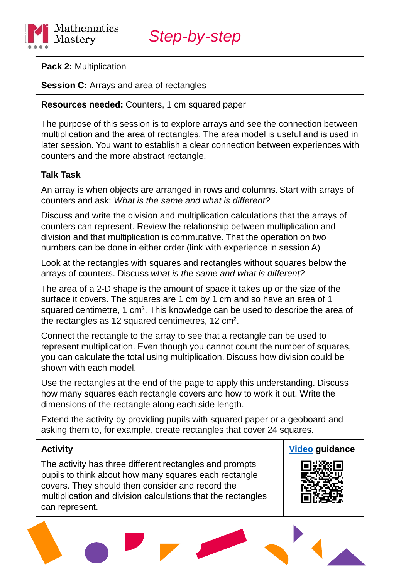

**Pack 2:** Multiplication

**Session C:** Arrays and area of rectangles

**Resources needed:** Counters, 1 cm squared paper

The purpose of this session is to explore arrays and see the connection between multiplication and the area of rectangles. The area model is useful and is used in later session. You want to establish a clear connection between experiences with counters and the more abstract rectangle.

### **Talk Task**

An array is when objects are arranged in rows and columns. Start with arrays of counters and ask: *What is the same and what is different?*

Discuss and write the division and multiplication calculations that the arrays of counters can represent. Review the relationship between multiplication and division and that multiplication is commutative. That the operation on two numbers can be done in either order (link with experience in session A)

Look at the rectangles with squares and rectangles without squares below the arrays of counters. Discuss *what is the same and what is different?*

The area of a 2-D shape is the amount of space it takes up or the size of the surface it covers. The squares are 1 cm by 1 cm and so have an area of 1 squared centimetre, 1 cm<sup>2</sup>. This knowledge can be used to describe the area of the rectangles as 12 squared centimetres, 12  $\text{cm}^2$ .

Connect the rectangle to the array to see that a rectangle can be used to represent multiplication. Even though you cannot count the number of squares, you can calculate the total using multiplication. Discuss how division could be shown with each model.

Use the rectangles at the end of the page to apply this understanding. Discuss how many squares each rectangle covers and how to work it out. Write the dimensions of the rectangle along each side length.

Extend the activity by providing pupils with squared paper or a geoboard and asking them to, for example, create rectangles that cover 24 squares.

### **Activity**

The activity has three different rectangles and prompts pupils to think about how many squares each rectangle covers. They should then consider and record the multiplication and division calculations that the rectangles can represent.

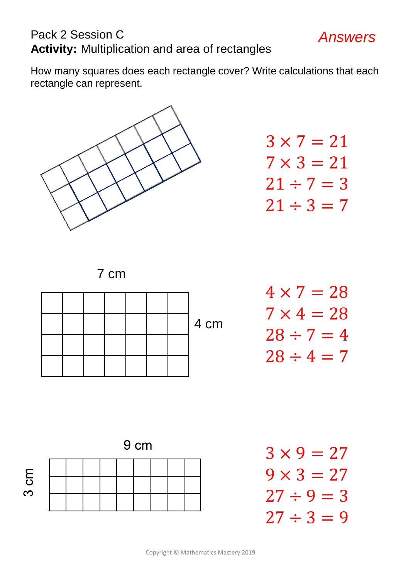# Pack 2 Session C **Activity:** Multiplication and area of rectangles

How many squares does each rectangle cover? Write calculations that each rectangle can represent.



 $3 \times 7 = 21$  $7 \times 3 = 21$  $21 \div 7 = 3$  $21 \div 3 = 7$ 

*Answers*

7 cm



$$
4 \times 7 = 28
$$
  

$$
7 \times 4 = 28
$$
  

$$
28 \div 7 = 4
$$
  

$$
28 \div 4 = 7
$$

9 cm



 $3 \times 9 = 27$  $9 \times 3 = 27$  $27 \div 9 = 3$  $27 \div 3 = 9$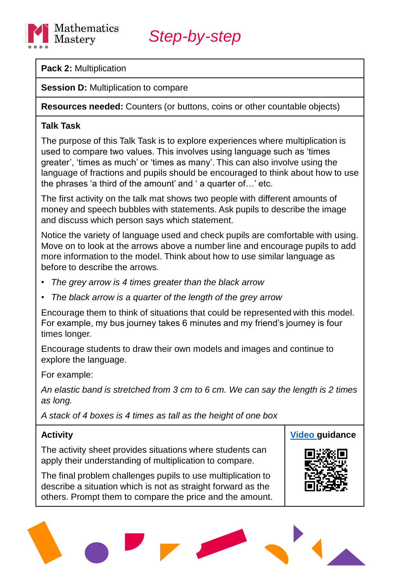

**Pack 2:** Multiplication

**Session D: Multiplication to compare** 

**Resources needed:** Counters (or buttons, coins or other countable objects)

#### **Talk Task**

The purpose of this Talk Task is to explore experiences where multiplication is used to compare two values. This involves using language such as 'times greater', 'times as much' or 'times as many'. This can also involve using the language of fractions and pupils should be encouraged to think about how to use the phrases 'a third of the amount' and ' a quarter of…' etc.

The first activity on the talk mat shows two people with different amounts of money and speech bubbles with statements. Ask pupils to describe the image and discuss which person says which statement.

Notice the variety of language used and check pupils are comfortable with using. Move on to look at the arrows above a number line and encourage pupils to add more information to the model. Think about how to use similar language as before to describe the arrows.

- *The grey arrow is 4 times greater than the black arrow*
- *The black arrow is a quarter of the length of the grey arrow*

Encourage them to think of situations that could be represented with this model. For example, my bus journey takes 6 minutes and my friend's journey is four times longer.

Encourage students to draw their own models and images and continue to explore the language.

For example:

*An elastic band is stretched from 3 cm to 6 cm. We can say the length is 2 times as long.*

*A stack of 4 boxes is 4 times as tall as the height of one box*

### **Activity**

The activity sheet provides situations where students can apply their understanding of multiplication to compare.

The final problem challenges pupils to use multiplication to describe a situation which is not as straight forward as the others. Prompt them to compare the price and the amount.

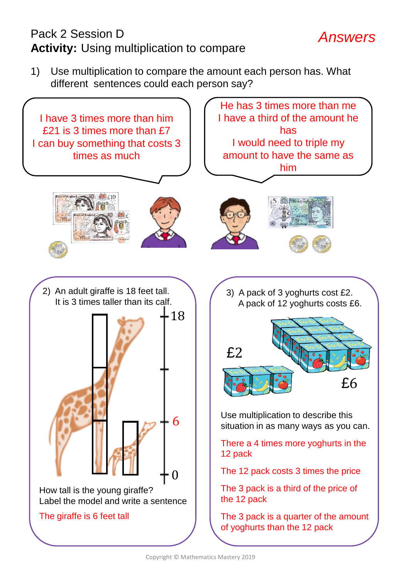# Pack 2 Session D **Activity:** Using multiplication to compare

1) Use multiplication to compare the amount each person has. What different sentences could each person say?

*Answers*

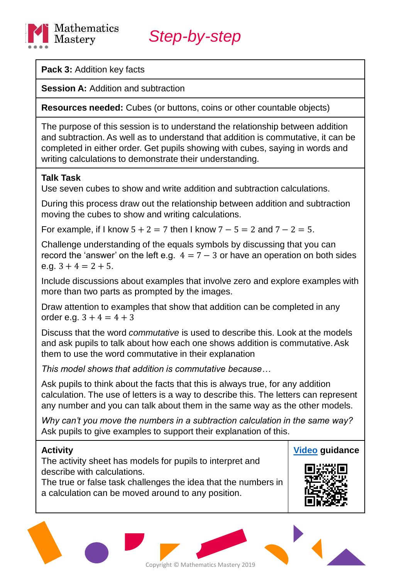

**Pack 3:** Addition key facts

**Session A: Addition and subtraction** 

**Resources needed:** Cubes (or buttons, coins or other countable objects)

The purpose of this session is to understand the relationship between addition and subtraction. As well as to understand that addition is commutative, it can be completed in either order. Get pupils showing with cubes, saying in words and writing calculations to demonstrate their understanding.

### **Talk Task**

Use seven cubes to show and write addition and subtraction calculations.

During this process draw out the relationship between addition and subtraction moving the cubes to show and writing calculations.

For example, if I know  $5 + 2 = 7$  then I know  $7 - 5 = 2$  and  $7 - 2 = 5$ .

Challenge understanding of the equals symbols by discussing that you can record the 'answer' on the left e.g.  $4 = 7 - 3$  or have an operation on both sides e.g.  $3 + 4 = 2 + 5$ .

Include discussions about examples that involve zero and explore examples with more than two parts as prompted by the images.

Draw attention to examples that show that addition can be completed in any order e.g.  $3 + 4 = 4 + 3$ 

Discuss that the word *commutative* is used to describe this. Look at the models and ask pupils to talk about how each one shows addition is commutative. Ask them to use the word commutative in their explanation

*This model shows that addition is commutative because…*

Ask pupils to think about the facts that this is always true, for any addition calculation. The use of letters is a way to describe this. The letters can represent any number and you can talk about them in the same way as the other models.

*Why can't you move the numbers in a subtraction calculation in the same way?*  Ask pupils to give examples to support their explanation of this.

#### **Activity**

The activity sheet has models for pupils to interpret and describe with calculations.

The true or false task challenges the idea that the numbers in a calculation can be moved around to any position.



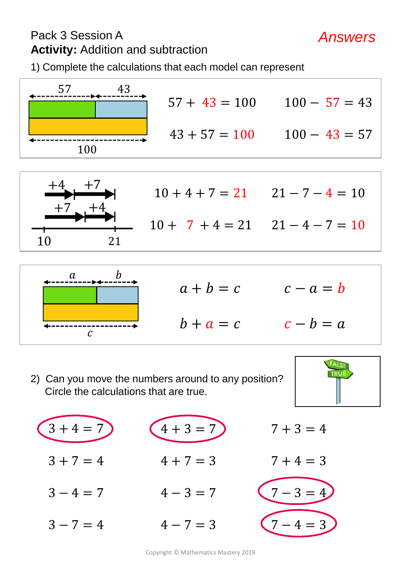# Pack 3 Session A **Activity:** Addition and subtraction

1) Complete the calculations that each model can represent





| $10 + 4 + 7 = 21$ $21 - 7 - 4 = 10$ |  |
|-------------------------------------|--|
| $10 + 7 + 4 = 21$ $21 - 4 - 7 = 10$ |  |



 $a + b = c$  $b + a = c$  $c - a = b$  $c - b = a$ 

2) Can you move the numbers around to any position? Circle the calculations that are true.



*Answers*

 $3 + 4 = 7$  $3 + 7 = 4$  $3 - 4 = 7$  $3 - 7 = 4$  $4 + 3 = 7$  $4 + 7 = 3$  $4 - 3 = 7$  $4 - 7 = 3$ 





Copyright © Mathematics Mastery 2019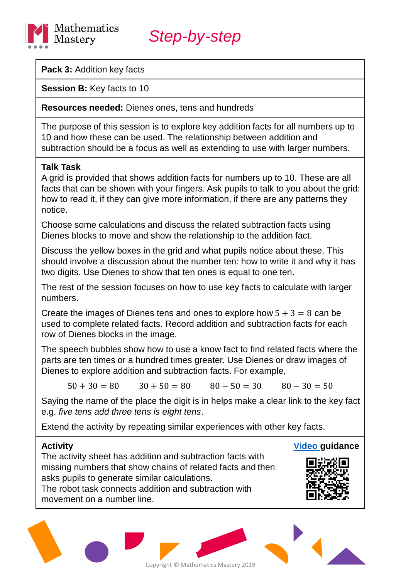

**Pack 3:** Addition key facts

**Session B:** Key facts to 10

#### **Resources needed:** Dienes ones, tens and hundreds

The purpose of this session is to explore key addition facts for all numbers up to 10 and how these can be used. The relationship between addition and subtraction should be a focus as well as extending to use with larger numbers.

### **Talk Task**

A grid is provided that shows addition facts for numbers up to 10. These are all facts that can be shown with your fingers. Ask pupils to talk to you about the grid: how to read it, if they can give more information, if there are any patterns they notice.

Choose some calculations and discuss the related subtraction facts using Dienes blocks to move and show the relationship to the addition fact.

Discuss the yellow boxes in the grid and what pupils notice about these. This should involve a discussion about the number ten: how to write it and why it has two digits. Use Dienes to show that ten ones is equal to one ten.

The rest of the session focuses on how to use key facts to calculate with larger numbers.

Create the images of Dienes tens and ones to explore how  $5 + 3 = 8$  can be used to complete related facts. Record addition and subtraction facts for each row of Dienes blocks in the image.

The speech bubbles show how to use a know fact to find related facts where the parts are ten times or a hundred times greater. Use Dienes or draw images of Dienes to explore addition and subtraction facts. For example,

 $50 + 30 = 80$   $30 + 50 = 80$   $80 - 50 = 30$   $80 - 30 = 50$ 

Saying the name of the place the digit is in helps make a clear link to the key fact e.g. *five tens add three tens is eight tens*.

Extend the activity by repeating similar experiences with other key facts.

#### **Activity**

The activity sheet has addition and subtraction facts with missing numbers that show chains of related facts and then asks pupils to generate similar calculations.

The robot task connects addition and subtraction with movement on a number line.



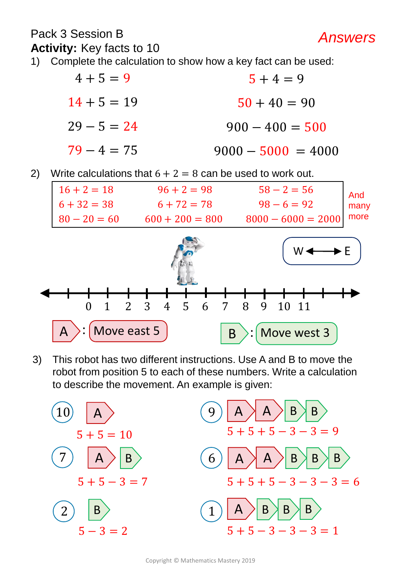### Pack 3 Session B **Activity:** Key facts to 10

- 1) Complete the calculation to show how a key fact can be used:
	- $4 + 5 = 9$  $14 + 5 = 19$  $29 - 5 = 24$  $79 - 4 = 75$  $5 + 4 = 9$  $50 + 40 = 90$  $900 - 400 = 500$  $9000 - 5000 = 4000$

2) Write calculations that  $6 + 2 = 8$  can be used to work out.



3) This robot has two different instructions. Use A and B to move the robot from position 5 to each of these numbers. Write a calculation to describe the movement. An example is given:



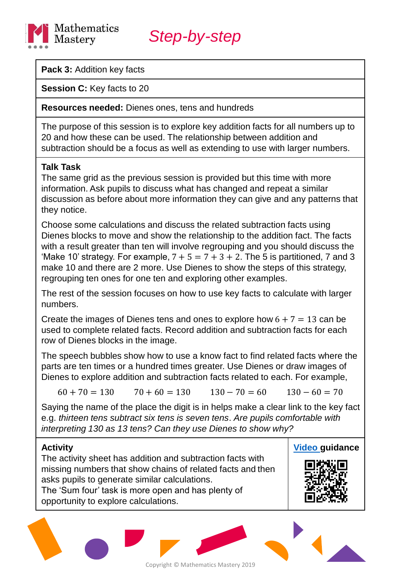

**Pack 3:** Addition key facts

**Session C:** Key facts to 20

**Resources needed:** Dienes ones, tens and hundreds

The purpose of this session is to explore key addition facts for all numbers up to 20 and how these can be used. The relationship between addition and subtraction should be a focus as well as extending to use with larger numbers.

### **Talk Task**

The same grid as the previous session is provided but this time with more information. Ask pupils to discuss what has changed and repeat a similar discussion as before about more information they can give and any patterns that they notice.

Choose some calculations and discuss the related subtraction facts using Dienes blocks to move and show the relationship to the addition fact. The facts with a result greater than ten will involve regrouping and you should discuss the 'Make 10' strategy. For example,  $7 + 5 = 7 + 3 + 2$ . The 5 is partitioned, 7 and 3 make 10 and there are 2 more. Use Dienes to show the steps of this strategy, regrouping ten ones for one ten and exploring other examples.

The rest of the session focuses on how to use key facts to calculate with larger numbers.

Create the images of Dienes tens and ones to explore how  $6 + 7 = 13$  can be used to complete related facts. Record addition and subtraction facts for each row of Dienes blocks in the image.

The speech bubbles show how to use a know fact to find related facts where the parts are ten times or a hundred times greater. Use Dienes or draw images of Dienes to explore addition and subtraction facts related to each. For example,

 $60 + 70 = 130$   $70 + 60 = 130$   $130 - 70 = 60$   $130 - 60 = 70$ 

Saying the name of the place the digit is in helps make a clear link to the key fact e.g. *thirteen tens subtract six tens is seven tens*. *Are pupils comfortable with interpreting 130 as 13 tens? Can they use Dienes to show why?*

### **Activity**

The activity sheet has addition and subtraction facts with missing numbers that show chains of related facts and then asks pupils to generate similar calculations. The 'Sum four' task is more open and has plenty of opportunity to explore calculations.



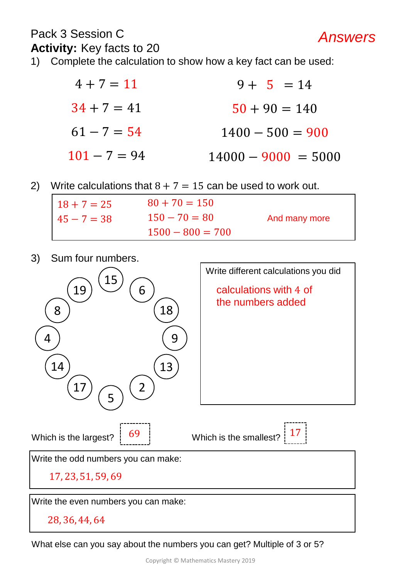### Pack 3 Session C **Activity:** Key facts to 20

1) Complete the calculation to show how a key fact can be used:

| $4 + 7 = 11$   | $9 + 5 = 14$          |
|----------------|-----------------------|
| $34 + 7 = 41$  | $50 + 90 = 140$       |
| $61 - 7 = 54$  | $1400 - 500 = 900$    |
| $101 - 7 = 94$ | $14000 - 9000 = 5000$ |

*Answers*

2) Write calculations that  $8 + 7 = 15$  can be used to work out.

| $18 + 7 = 25$ | $80 + 70 = 150$    |               |
|---------------|--------------------|---------------|
| $45 - 7 = 38$ | $150 - 70 = 80$    | And many more |
|               | $1500 - 800 = 700$ |               |

3) Sum four numbers.



What else can you say about the numbers you can get? Multiple of 3 or 5?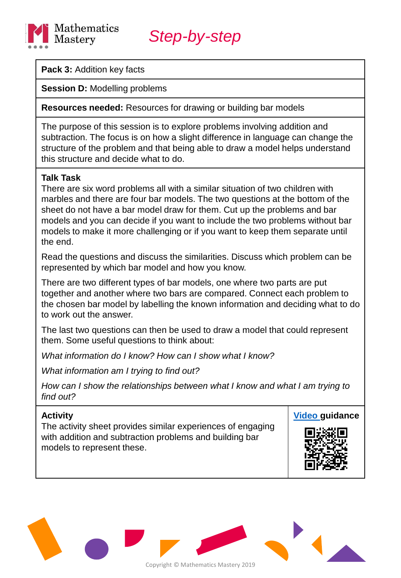

**Pack 3:** Addition key facts

**Session D: Modelling problems** 

**Resources needed:** Resources for drawing or building bar models

The purpose of this session is to explore problems involving addition and subtraction. The focus is on how a slight difference in language can change the structure of the problem and that being able to draw a model helps understand this structure and decide what to do.

#### **Talk Task**

There are six word problems all with a similar situation of two children with marbles and there are four bar models. The two questions at the bottom of the sheet do not have a bar model draw for them. Cut up the problems and bar models and you can decide if you want to include the two problems without bar models to make it more challenging or if you want to keep them separate until the end.

Read the questions and discuss the similarities. Discuss which problem can be represented by which bar model and how you know.

There are two different types of bar models, one where two parts are put together and another where two bars are compared. Connect each problem to the chosen bar model by labelling the known information and deciding what to do to work out the answer.

The last two questions can then be used to draw a model that could represent them. Some useful questions to think about:

*What information do I know? How can I show what I know?* 

*What information am I trying to find out?* 

*How can I show the relationships between what I know and what I am trying to find out?*

#### **Activity**

The activity sheet provides similar experiences of engaging with addition and subtraction problems and building bar models to represent these.



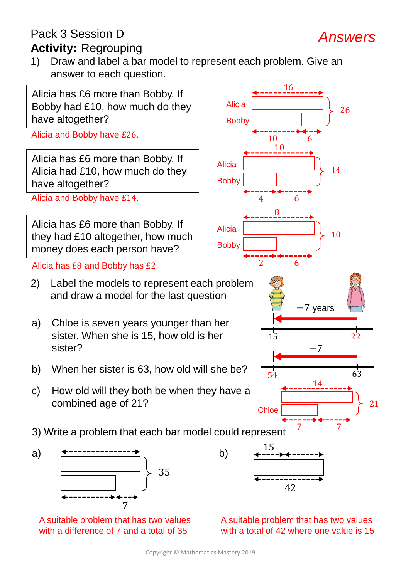## Pack 3 Session D **Activity:** Regrouping

1) Draw and label a bar model to represent each problem. Give an answer to each question.

*Answers*



with a total of 42 where one value is 15

with a difference of 7 and a total of 35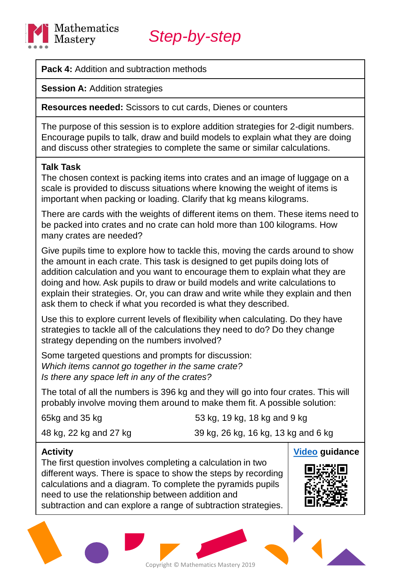

**Pack 4: Addition and subtraction methods** 

**Session A: Addition strategies** 

**Resources needed:** Scissors to cut cards, Dienes or counters

The purpose of this session is to explore addition strategies for 2-digit numbers. Encourage pupils to talk, draw and build models to explain what they are doing and discuss other strategies to complete the same or similar calculations.

#### **Talk Task**

The chosen context is packing items into crates and an image of luggage on a scale is provided to discuss situations where knowing the weight of items is important when packing or loading. Clarify that kg means kilograms.

There are cards with the weights of different items on them. These items need to be packed into crates and no crate can hold more than 100 kilograms. How many crates are needed?

Give pupils time to explore how to tackle this, moving the cards around to show the amount in each crate. This task is designed to get pupils doing lots of addition calculation and you want to encourage them to explain what they are doing and how. Ask pupils to draw or build models and write calculations to explain their strategies. Or, you can draw and write while they explain and then ask them to check if what you recorded is what they described.

Use this to explore current levels of flexibility when calculating. Do they have strategies to tackle all of the calculations they need to do? Do they change strategy depending on the numbers involved?

Some targeted questions and prompts for discussion: *Which items cannot go together in the same crate? Is there any space left in any of the crates?*

The total of all the numbers is 396 kg and they will go into four crates. This will probably involve moving them around to make them fit. A possible solution:

65kg and 35 kg 53 kg, 19 kg, 18 kg and 9 kg

48 kg, 22 kg and 27 kg 39 kg, 26 kg, 16 kg, 13 kg and 6 kg

#### **Activity**

The first question involves completing a calculation in two different ways. There is space to show the steps by recording calculations and a diagram. To complete the pyramids pupils need to use the relationship between addition and subtraction and can explore a range of subtraction strategies.



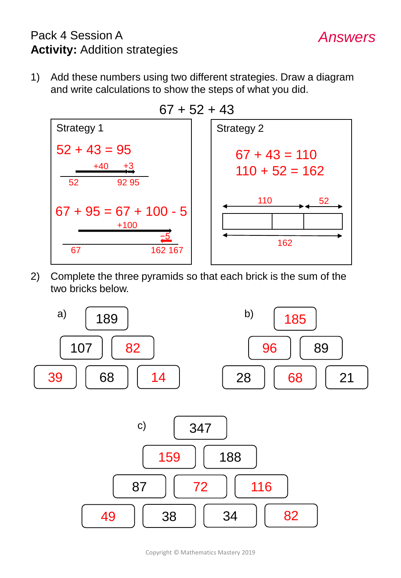# Pack 4 Session A **Activity:** Addition strategies

1) Add these numbers using two different strategies. Draw a diagram and write calculations to show the steps of what you did.

*Answers*



2) Complete the three pyramids so that each brick is the sum of the two bricks below.

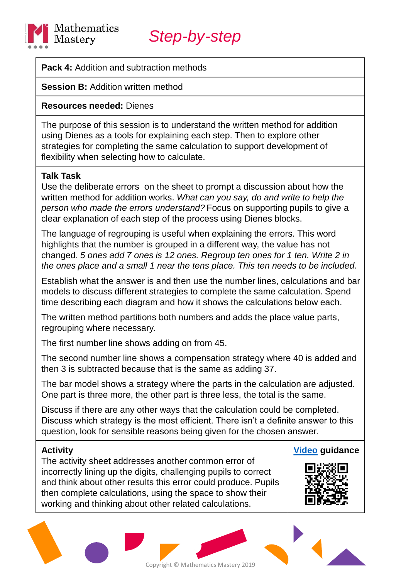

**Pack 4: Addition and subtraction methods** 

**Session B: Addition written method** 

### **Resources needed:** Dienes

The purpose of this session is to understand the written method for addition using Dienes as a tools for explaining each step. Then to explore other strategies for completing the same calculation to support development of flexibility when selecting how to calculate.

### **Talk Task**

Use the deliberate errors on the sheet to prompt a discussion about how the written method for addition works. *What can you say, do and write to help the person who made the errors understand?* Focus on supporting pupils to give a clear explanation of each step of the process using Dienes blocks.

The language of regrouping is useful when explaining the errors. This word highlights that the number is grouped in a different way, the value has not changed. *5 ones add 7 ones is 12 ones. Regroup ten ones for 1 ten. Write 2 in the ones place and a small 1 near the tens place. This ten needs to be included.*

Establish what the answer is and then use the number lines, calculations and bar models to discuss different strategies to complete the same calculation. Spend time describing each diagram and how it shows the calculations below each.

The written method partitions both numbers and adds the place value parts, regrouping where necessary.

The first number line shows adding on from 45.

The second number line shows a compensation strategy where 40 is added and then 3 is subtracted because that is the same as adding 37.

The bar model shows a strategy where the parts in the calculation are adjusted. One part is three more, the other part is three less, the total is the same.

Discuss if there are any other ways that the calculation could be completed. Discuss which strategy is the most efficient. There isn't a definite answer to this question, look for sensible reasons being given for the chosen answer.

#### **Activity**

The activity sheet addresses another common error of incorrectly lining up the digits, challenging pupils to correct and think about other results this error could produce. Pupils then complete calculations, using the space to show their working and thinking about other related calculations.



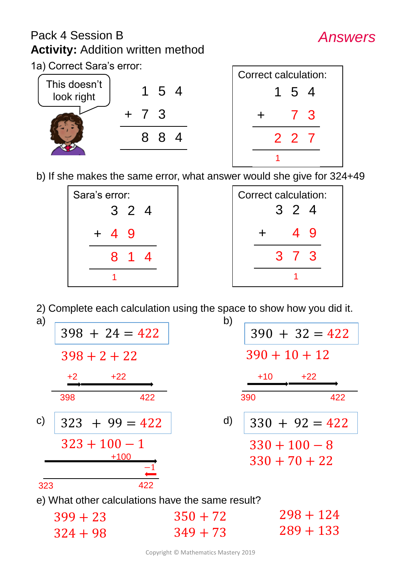# Pack 4 Session B **Activity:** Addition written method



*Answers*

1a) Correct Sara's error:



|  |  |  |  | b) If she makes the same error, what answer would she give for 324+49 |  |  |  |
|--|--|--|--|-----------------------------------------------------------------------|--|--|--|
|  |  |  |  |                                                                       |  |  |  |
|  |  |  |  |                                                                       |  |  |  |

| Sara's error: |  |  |  |  |  | <b>Correct calculation:</b> |  |
|---------------|--|--|--|--|--|-----------------------------|--|
| 3 2 4         |  |  |  |  |  | 3 2 4                       |  |
| $+ 4 9$       |  |  |  |  |  |                             |  |
| 8 1 4         |  |  |  |  |  | 3 7 3                       |  |
|               |  |  |  |  |  |                             |  |

| Correct calculation: |       |               |              |   |  |  |  |  |
|----------------------|-------|---------------|--------------|---|--|--|--|--|
|                      | 3 2 4 |               |              |   |  |  |  |  |
|                      |       |               |              |   |  |  |  |  |
|                      |       |               | 49           |   |  |  |  |  |
|                      |       |               |              |   |  |  |  |  |
|                      |       | $\mathcal{S}$ | $\mathbf{7}$ | 3 |  |  |  |  |
|                      |       |               |              |   |  |  |  |  |
|                      |       |               |              |   |  |  |  |  |

2) Complete each calculation using the space to show how you did it.

| a)                                               |                           | b)           |                  |  |  |  |  |  |
|--------------------------------------------------|---------------------------|--------------|------------------|--|--|--|--|--|
|                                                  | $398 + 24 = 422$          |              | $390 + 32 = 422$ |  |  |  |  |  |
|                                                  | $398 + 2 + 22$            |              | $390 + 10 + 12$  |  |  |  |  |  |
|                                                  | $+22$<br>$+2$             |              | $+10$<br>$+22$   |  |  |  |  |  |
| $\mathsf{C}$                                     | 398<br>422                |              | 390<br>422       |  |  |  |  |  |
|                                                  | $323 + 99 = 422$          | $\mathsf{d}$ | $330 + 92 = 422$ |  |  |  |  |  |
|                                                  | $323 + 100 - 1$<br>$+100$ |              | $330 + 100 - 8$  |  |  |  |  |  |
|                                                  |                           |              | $330 + 70 + 22$  |  |  |  |  |  |
| 323                                              | 422                       |              |                  |  |  |  |  |  |
| e) What other calculations have the same result? |                           |              |                  |  |  |  |  |  |
|                                                  | $399 + 23$                | $350 + 72$   | $298 + 124$      |  |  |  |  |  |
|                                                  | $324 + 98$                | $349 + 73$   | $289 + 133$      |  |  |  |  |  |
|                                                  |                           |              |                  |  |  |  |  |  |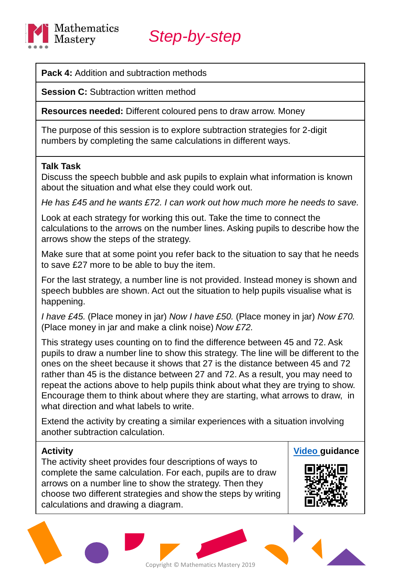

**Pack 4: Addition and subtraction methods** 

**Session C: Subtraction written method** 

**Resources needed:** Different coloured pens to draw arrow. Money

The purpose of this session is to explore subtraction strategies for 2-digit numbers by completing the same calculations in different ways.

#### **Talk Task**

Discuss the speech bubble and ask pupils to explain what information is known about the situation and what else they could work out.

*He has £45 and he wants £72. I can work out how much more he needs to save.*

Look at each strategy for working this out. Take the time to connect the calculations to the arrows on the number lines. Asking pupils to describe how the arrows show the steps of the strategy.

Make sure that at some point you refer back to the situation to say that he needs to save £27 more to be able to buy the item.

For the last strategy, a number line is not provided. Instead money is shown and speech bubbles are shown. Act out the situation to help pupils visualise what is happening.

*I have £45.* (Place money in jar) *Now I have £50.* (Place money in jar) *Now £70.*  (Place money in jar and make a clink noise) *Now £72.*

This strategy uses counting on to find the difference between 45 and 72. Ask pupils to draw a number line to show this strategy. The line will be different to the ones on the sheet because it shows that 27 is the distance between 45 and 72 rather than 45 is the distance between 27 and 72. As a result, you may need to repeat the actions above to help pupils think about what they are trying to show. Encourage them to think about where they are starting, what arrows to draw, in what direction and what labels to write.

Extend the activity by creating a similar experiences with a situation involving another subtraction calculation.

#### **Activity**

The activity sheet provides four descriptions of ways to complete the same calculation. For each, pupils are to draw arrows on a number line to show the strategy. Then they choose two different strategies and show the steps by writing calculations and drawing a diagram.



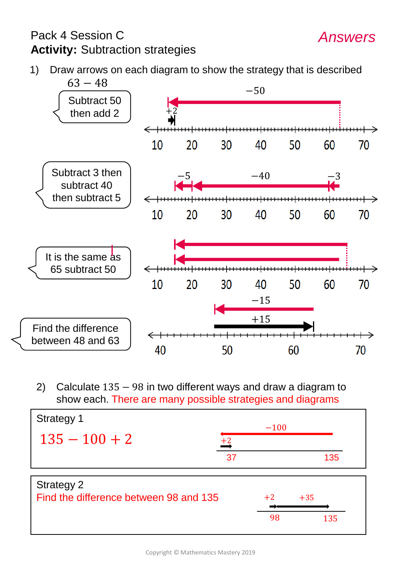# Pack 4 Session C **Activity:** Subtraction strategies

- *Answers*
- 1) Draw arrows on each diagram to show the strategy that is described  $63 - 48$



2) Calculate 135 − 98 in two different ways and draw a diagram to show each. There are many possible strategies and diagrams

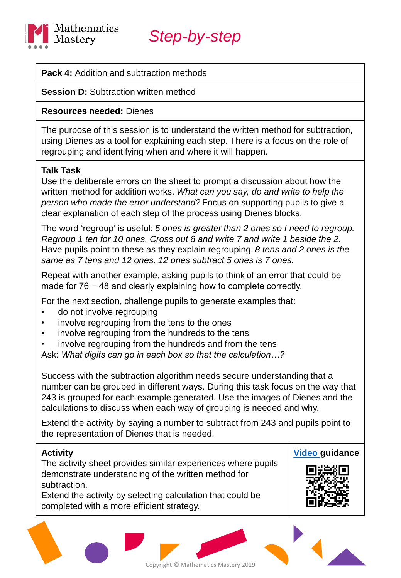

#### **Pack 4: Addition and subtraction methods**

**Session D:** Subtraction written method

#### **Resources needed:** Dienes

The purpose of this session is to understand the written method for subtraction, using Dienes as a tool for explaining each step. There is a focus on the role of regrouping and identifying when and where it will happen.

#### **Talk Task**

Use the deliberate errors on the sheet to prompt a discussion about how the written method for addition works. *What can you say, do and write to help the person who made the error understand?* Focus on supporting pupils to give a clear explanation of each step of the process using Dienes blocks.

The word 'regroup' is useful: *5 ones is greater than 2 ones so I need to regroup. Regroup 1 ten for 10 ones. Cross out 8 and write 7 and write 1 beside the 2.*  Have pupils point to these as they explain regrouping. *8 tens and 2 ones is the same as 7 tens and 12 ones. 12 ones subtract 5 ones is 7 ones.*

Repeat with another example, asking pupils to think of an error that could be made for 76 − 48 and clearly explaining how to complete correctly.

For the next section, challenge pupils to generate examples that:

- do not involve regrouping
- involve regrouping from the tens to the ones
- involve regrouping from the hundreds to the tens
- involve regrouping from the hundreds and from the tens

Ask: *What digits can go in each box so that the calculation…?*

Success with the subtraction algorithm needs secure understanding that a number can be grouped in different ways. During this task focus on the way that 243 is grouped for each example generated. Use the images of Dienes and the calculations to discuss when each way of grouping is needed and why.

Extend the activity by saying a number to subtract from 243 and pupils point to the representation of Dienes that is needed.

Copyright © Mathematics Mastery 2019

#### **Activity**

The activity sheet provides similar experiences where pupils demonstrate understanding of the written method for subtraction.

Extend the activity by selecting calculation that could be completed with a more efficient strategy.



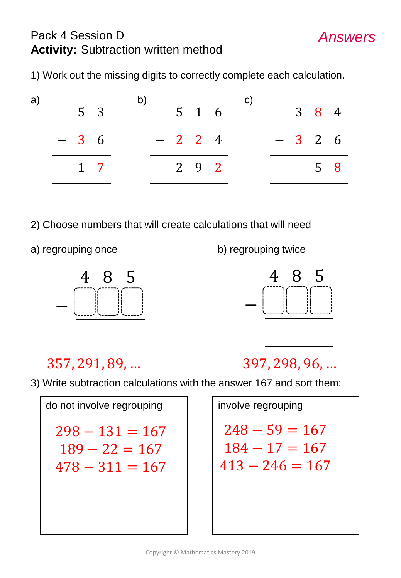# Pack 4 Session D **Activity:** Subtraction written method

1) Work out the missing digits to correctly complete each calculation.

| a) |                |             |  |  |                   |  | C) |  |                     |  |
|----|----------------|-------------|--|--|-------------------|--|----|--|---------------------|--|
|    | 5 <sup>3</sup> |             |  |  | $5\quad 1\quad 6$ |  |    |  | $3 \quad 8 \quad 4$ |  |
|    | $-36$          |             |  |  | $-224$            |  |    |  | $-326$              |  |
|    |                | $1 \quad 7$ |  |  | $2\quad 9\quad 2$ |  |    |  | 5 8                 |  |
|    |                |             |  |  |                   |  |    |  |                     |  |

- 2) Choose numbers that will create calculations that will need
- 

a) regrouping once b) regrouping twice





*Answers*

# 357, 291, 89, … 397, 298, 96, …

3) Write subtraction calculations with the answer 167 and sort them:

do not involve regrouping  $298 - 131 = 167$  $189 - 22 = 167$  $478 - 311 = 167$